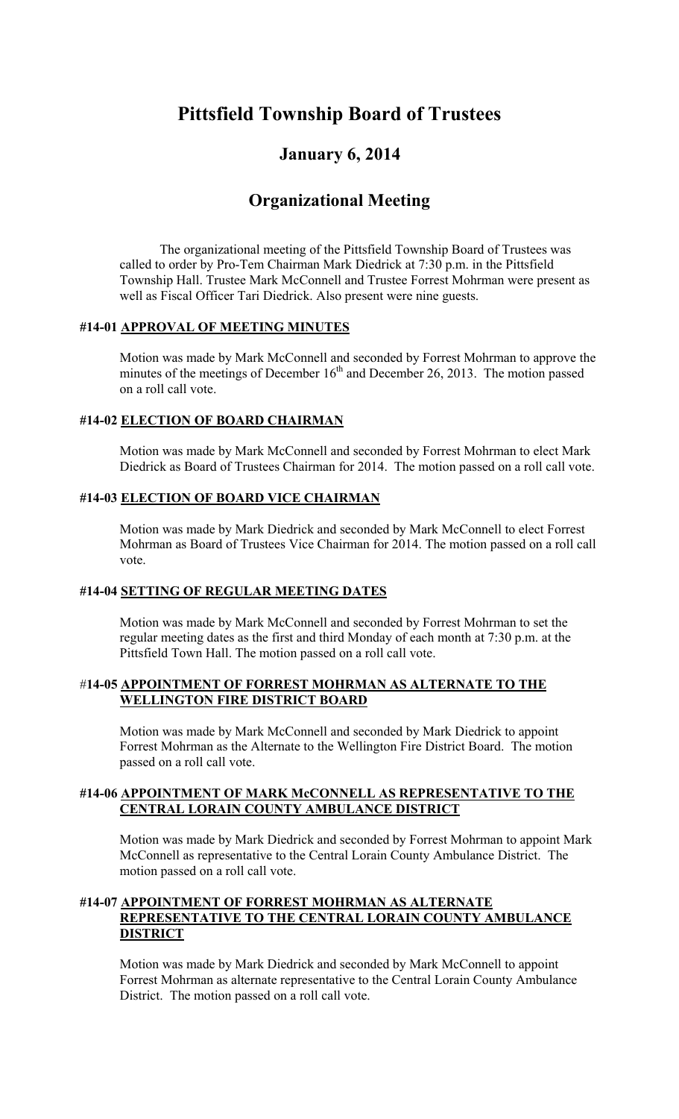# **Pittsfield Township Board of Trustees**

# **January 6, 2014**

# **Organizational Meeting**

The organizational meeting of the Pittsfield Township Board of Trustees was called to order by Pro-Tem Chairman Mark Diedrick at 7:30 p.m. in the Pittsfield Township Hall. Trustee Mark McConnell and Trustee Forrest Mohrman were present as well as Fiscal Officer Tari Diedrick. Also present were nine guests.

# **#14-01 APPROVAL OF MEETING MINUTES**

Motion was made by Mark McConnell and seconded by Forrest Mohrman to approve the minutes of the meetings of December  $16<sup>th</sup>$  and December 26, 2013. The motion passed on a roll call vote.

## **#14-02 ELECTION OF BOARD CHAIRMAN**

Motion was made by Mark McConnell and seconded by Forrest Mohrman to elect Mark Diedrick as Board of Trustees Chairman for 2014. The motion passed on a roll call vote.

## **#14-03 ELECTION OF BOARD VICE CHAIRMAN**

Motion was made by Mark Diedrick and seconded by Mark McConnell to elect Forrest Mohrman as Board of Trustees Vice Chairman for 2014. The motion passed on a roll call vote.

# **#14-04 SETTING OF REGULAR MEETING DATES**

 Motion was made by Mark McConnell and seconded by Forrest Mohrman to set the regular meeting dates as the first and third Monday of each month at 7:30 p.m. at the Pittsfield Town Hall. The motion passed on a roll call vote.

#### #**14-05 APPOINTMENT OF FORREST MOHRMAN AS ALTERNATE TO THE WELLINGTON FIRE DISTRICT BOARD**

 Motion was made by Mark McConnell and seconded by Mark Diedrick to appoint Forrest Mohrman as the Alternate to the Wellington Fire District Board. The motion passed on a roll call vote.

## **#14-06 APPOINTMENT OF MARK McCONNELL AS REPRESENTATIVE TO THE CENTRAL LORAIN COUNTY AMBULANCE DISTRICT**

 Motion was made by Mark Diedrick and seconded by Forrest Mohrman to appoint Mark McConnell as representative to the Central Lorain County Ambulance District. The motion passed on a roll call vote.

## **#14-07 APPOINTMENT OF FORREST MOHRMAN AS ALTERNATE REPRESENTATIVE TO THE CENTRAL LORAIN COUNTY AMBULANCE DISTRICT**

 Motion was made by Mark Diedrick and seconded by Mark McConnell to appoint Forrest Mohrman as alternate representative to the Central Lorain County Ambulance District. The motion passed on a roll call vote.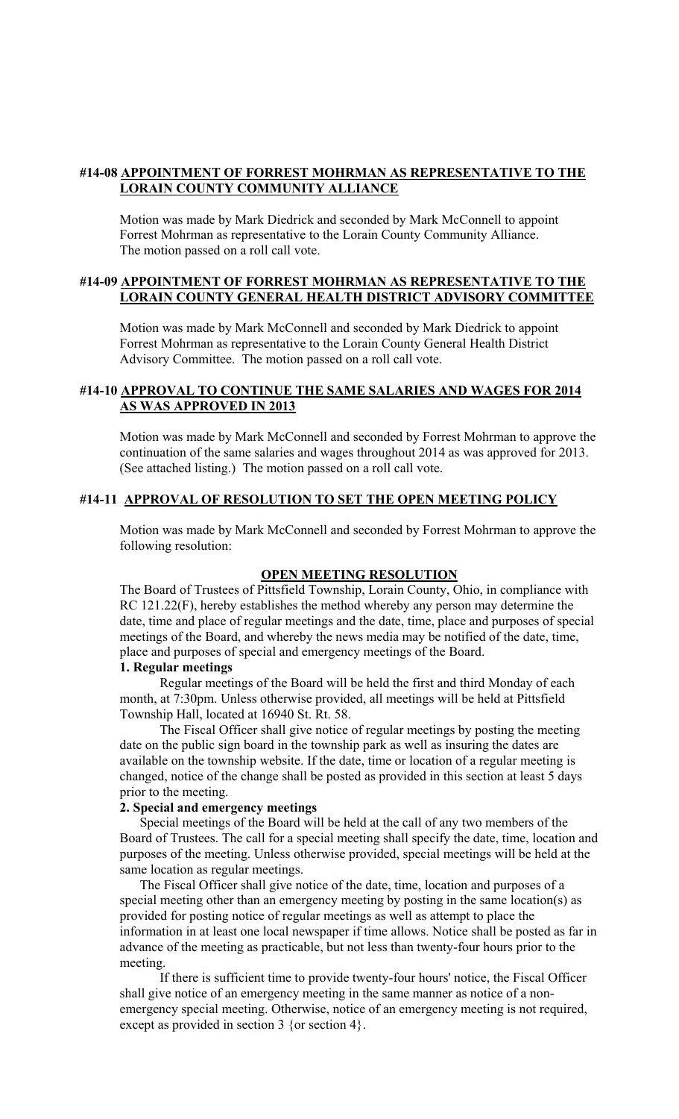#### **#14-08 APPOINTMENT OF FORREST MOHRMAN AS REPRESENTATIVE TO THE LORAIN COUNTY COMMUNITY ALLIANCE**

 Motion was made by Mark Diedrick and seconded by Mark McConnell to appoint Forrest Mohrman as representative to the Lorain County Community Alliance. The motion passed on a roll call vote.

## **#14-09 APPOINTMENT OF FORREST MOHRMAN AS REPRESENTATIVE TO THE LORAIN COUNTY GENERAL HEALTH DISTRICT ADVISORY COMMITTEE**

 Motion was made by Mark McConnell and seconded by Mark Diedrick to appoint Forrest Mohrman as representative to the Lorain County General Health District Advisory Committee. The motion passed on a roll call vote.

### **#14-10 APPROVAL TO CONTINUE THE SAME SALARIES AND WAGES FOR 2014 AS WAS APPROVED IN 2013**

 Motion was made by Mark McConnell and seconded by Forrest Mohrman to approve the continuation of the same salaries and wages throughout 2014 as was approved for 2013. (See attached listing.) The motion passed on a roll call vote.

#### **#14-11 APPROVAL OF RESOLUTION TO SET THE OPEN MEETING POLICY**

 Motion was made by Mark McConnell and seconded by Forrest Mohrman to approve the following resolution:

#### **OPEN MEETING RESOLUTION**

The Board of Trustees of Pittsfield Township, Lorain County, Ohio, in compliance with RC 121.22(F), hereby establishes the method whereby any person may determine the date, time and place of regular meetings and the date, time, place and purposes of special meetings of the Board, and whereby the news media may be notified of the date, time, place and purposes of special and emergency meetings of the Board.

#### **1. Regular meetings**

Regular meetings of the Board will be held the first and third Monday of each month, at 7:30pm. Unless otherwise provided, all meetings will be held at Pittsfield Township Hall, located at 16940 St. Rt. 58.

The Fiscal Officer shall give notice of regular meetings by posting the meeting date on the public sign board in the township park as well as insuring the dates are available on the township website. If the date, time or location of a regular meeting is changed, notice of the change shall be posted as provided in this section at least 5 days prior to the meeting.

#### **2. Special and emergency meetings**

Special meetings of the Board will be held at the call of any two members of the Board of Trustees. The call for a special meeting shall specify the date, time, location and purposes of the meeting. Unless otherwise provided, special meetings will be held at the same location as regular meetings.

The Fiscal Officer shall give notice of the date, time, location and purposes of a special meeting other than an emergency meeting by posting in the same location(s) as provided for posting notice of regular meetings as well as attempt to place the information in at least one local newspaper if time allows. Notice shall be posted as far in advance of the meeting as practicable, but not less than twenty-four hours prior to the meeting.

If there is sufficient time to provide twenty-four hours' notice, the Fiscal Officer shall give notice of an emergency meeting in the same manner as notice of a nonemergency special meeting. Otherwise, notice of an emergency meeting is not required, except as provided in section 3 {or section 4}.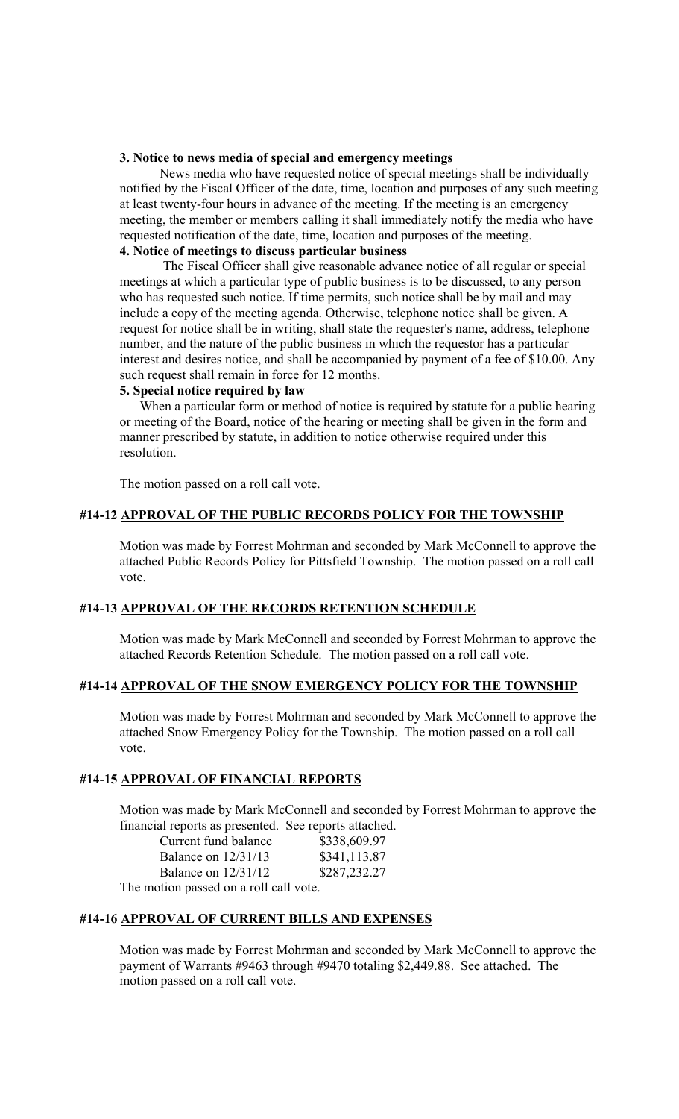#### **3. Notice to news media of special and emergency meetings**

News media who have requested notice of special meetings shall be individually notified by the Fiscal Officer of the date, time, location and purposes of any such meeting at least twenty-four hours in advance of the meeting. If the meeting is an emergency meeting, the member or members calling it shall immediately notify the media who have requested notification of the date, time, location and purposes of the meeting. **4. Notice of meetings to discuss particular business** 

## The Fiscal Officer shall give reasonable advance notice of all regular or special meetings at which a particular type of public business is to be discussed, to any person who has requested such notice. If time permits, such notice shall be by mail and may include a copy of the meeting agenda. Otherwise, telephone notice shall be given. A request for notice shall be in writing, shall state the requester's name, address, telephone number, and the nature of the public business in which the requestor has a particular interest and desires notice, and shall be accompanied by payment of a fee of \$10.00. Any such request shall remain in force for 12 months.

#### **5. Special notice required by law**

When a particular form or method of notice is required by statute for a public hearing or meeting of the Board, notice of the hearing or meeting shall be given in the form and manner prescribed by statute, in addition to notice otherwise required under this resolution.

The motion passed on a roll call vote.

## **#14-12 APPROVAL OF THE PUBLIC RECORDS POLICY FOR THE TOWNSHIP**

 Motion was made by Forrest Mohrman and seconded by Mark McConnell to approve the attached Public Records Policy for Pittsfield Township. The motion passed on a roll call vote.

#### **#14-13 APPROVAL OF THE RECORDS RETENTION SCHEDULE**

Motion was made by Mark McConnell and seconded by Forrest Mohrman to approve the attached Records Retention Schedule. The motion passed on a roll call vote.

#### **#14-14 APPROVAL OF THE SNOW EMERGENCY POLICY FOR THE TOWNSHIP**

 Motion was made by Forrest Mohrman and seconded by Mark McConnell to approve the attached Snow Emergency Policy for the Township. The motion passed on a roll call vote.

#### **#14-15 APPROVAL OF FINANCIAL REPORTS**

 Motion was made by Mark McConnell and seconded by Forrest Mohrman to approve the financial reports as presented. See reports attached.

| Current fund balance                  | \$338,609.97 |
|---------------------------------------|--------------|
| Balance on $12/31/13$                 | \$341,113.87 |
| Balance on $12/31/12$                 | \$287,232.27 |
| The motion passed on a roll call vote |              |

The motion passed on a roll call vote.

# **#14-16 APPROVAL OF CURRENT BILLS AND EXPENSES**

 Motion was made by Forrest Mohrman and seconded by Mark McConnell to approve the payment of Warrants #9463 through #9470 totaling \$2,449.88. See attached. The motion passed on a roll call vote.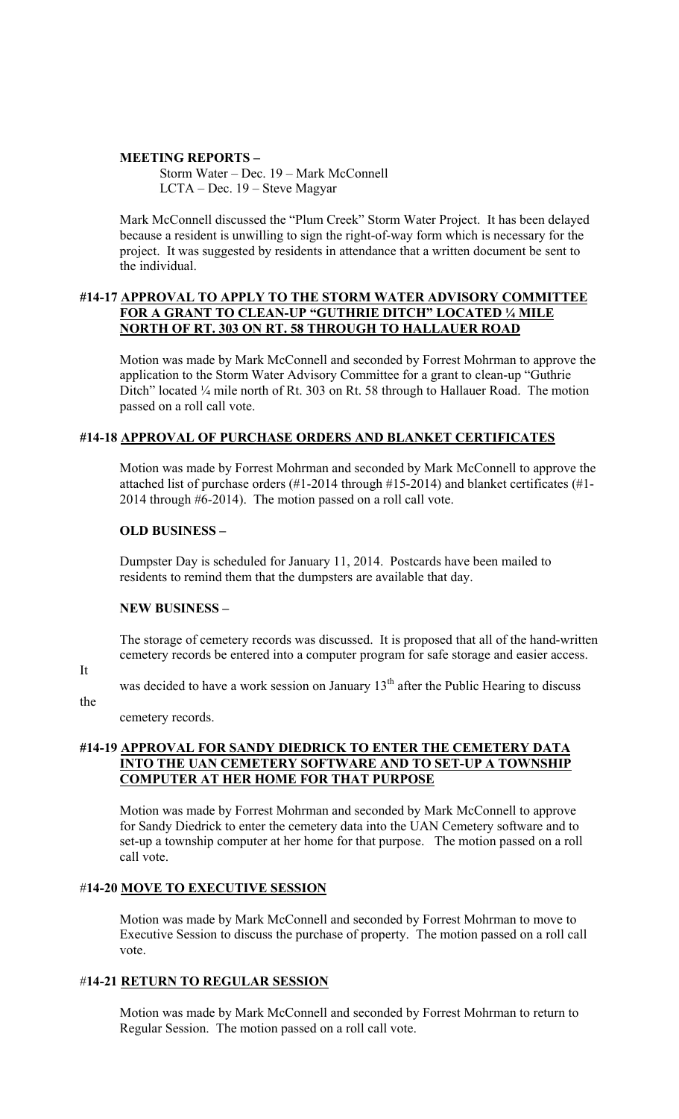#### **MEETING REPORTS –**

Storm Water – Dec. 19 – Mark McConnell LCTA – Dec. 19 – Steve Magyar

 Mark McConnell discussed the "Plum Creek" Storm Water Project. It has been delayed because a resident is unwilling to sign the right-of-way form which is necessary for the project. It was suggested by residents in attendance that a written document be sent to the individual.

#### **#14-17 APPROVAL TO APPLY TO THE STORM WATER ADVISORY COMMITTEE FOR A GRANT TO CLEAN-UP "GUTHRIE DITCH" LOCATED ¼ MILE NORTH OF RT. 303 ON RT. 58 THROUGH TO HALLAUER ROAD**

 Motion was made by Mark McConnell and seconded by Forrest Mohrman to approve the application to the Storm Water Advisory Committee for a grant to clean-up "Guthrie Ditch" located 1/4 mile north of Rt. 303 on Rt. 58 through to Hallauer Road. The motion passed on a roll call vote.

## **#14-18 APPROVAL OF PURCHASE ORDERS AND BLANKET CERTIFICATES**

 Motion was made by Forrest Mohrman and seconded by Mark McConnell to approve the attached list of purchase orders (#1-2014 through #15-2014) and blanket certificates (#1- 2014 through #6-2014). The motion passed on a roll call vote.

#### **OLD BUSINESS –**

Dumpster Day is scheduled for January 11, 2014. Postcards have been mailed to residents to remind them that the dumpsters are available that day.

# **NEW BUSINESS –**

The storage of cemetery records was discussed. It is proposed that all of the hand-written cemetery records be entered into a computer program for safe storage and easier access.

It

was decided to have a work session on January  $13<sup>th</sup>$  after the Public Hearing to discuss

the

cemetery records.

# **#14-19 APPROVAL FOR SANDY DIEDRICK TO ENTER THE CEMETERY DATA INTO THE UAN CEMETERY SOFTWARE AND TO SET-UP A TOWNSHIP COMPUTER AT HER HOME FOR THAT PURPOSE**

 Motion was made by Forrest Mohrman and seconded by Mark McConnell to approve for Sandy Diedrick to enter the cemetery data into the UAN Cemetery software and to set-up a township computer at her home for that purpose. The motion passed on a roll call vote.

# #**14-20 MOVE TO EXECUTIVE SESSION**

Motion was made by Mark McConnell and seconded by Forrest Mohrman to move to Executive Session to discuss the purchase of property. The motion passed on a roll call vote.

# #**14-21 RETURN TO REGULAR SESSION**

Motion was made by Mark McConnell and seconded by Forrest Mohrman to return to Regular Session. The motion passed on a roll call vote.